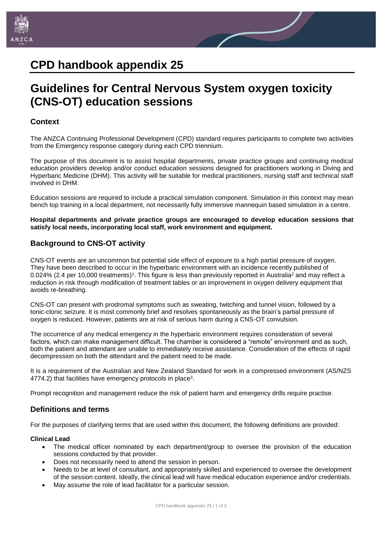

# **CPD handbook appendix 25**

# **Guidelines for Central Nervous System oxygen toxicity (CNS-OT) education sessions**

# **Context**

The ANZCA Continuing Professional Development (CPD) standard requires participants to complete two activities from the Emergency response category during each CPD triennium.

The purpose of this document is to assist hospital departments, private practice groups and continuing medical education providers develop and/or conduct education sessions designed for practitioners working in Diving and Hyperbaric Medicine (DHM). This activity will be suitable for medical practitioners, nursing staff and technical staff involved in DHM.

Education sessions are required to include a practical simulation component. Simulation in this context may mean bench top training in a local department, not necessarily fully immersive mannequin based simulation in a centre.

**Hospital departments and private practice groups are encouraged to develop education sessions that satisfy local needs, incorporating local staff, work environment and equipment.**

# **Background to CNS-OT activity**

CNS-OT events are an uncommon but potential side effect of exposure to a high partial pressure of oxygen. They have been described to occur in the hyperbaric environment with an incidence recently published of 0.024% (2.4 per 10,000 treatments)<sup>1</sup>. This figure is less than previously reported in Australia<sup>2</sup> and may reflect a reduction in risk through modification of treatment tables or an improvement in oxygen delivery equipment that avoids re-breathing.

CNS-OT can present with prodromal symptoms such as sweating, twitching and tunnel vision, followed by a tonic-clonic seizure. It is most commonly brief and resolves spontaneously as the brain's partial pressure of oxygen is reduced. However, patients are at risk of serious harm during a CNS-OT convulsion.

The occurrence of any medical emergency in the hyperbaric environment requires consideration of several factors, which can make management difficult. The chamber is considered a "remote" environment and as such, both the patient and attendant are unable to immediately receive assistance. Consideration of the effects of rapid decompression on both the attendant and the patient need to be made.

It is a requirement of the Australian and New Zealand Standard for work in a compressed environment (AS/NZS 4774.2) that facilities have emergency protocols in place<sup>3</sup>.

Prompt recognition and management reduce the risk of patient harm and emergency drills require practise.

## **Definitions and terms**

For the purposes of clarifying terms that are used within this document, the following definitions are provided:

## **Clinical Lead**

- The medical officer nominated by each department/group to oversee the provision of the education sessions conducted by that provider.
- Does not necessarily need to attend the session in person.
- Needs to be at level of consultant, and appropriately skilled and experienced to oversee the development of the session content. Ideally, the clinical lead will have medical education experience and/or credentials.
- May assume the role of lead facilitator for a particular session.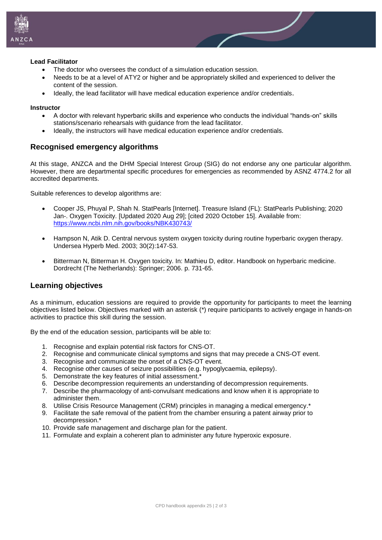

#### **Lead Facilitator**

- The doctor who oversees the conduct of a simulation education session.
- Needs to be at a level of ATY2 or higher and be appropriately skilled and experienced to deliver the content of the session.
- Ideally, the lead facilitator will have medical education experience and/or credentials.

#### **Instructor**

- A doctor with relevant hyperbaric skills and experience who conducts the individual "hands-on" skills stations/scenario rehearsals with guidance from the lead facilitator.
- Ideally, the instructors will have medical education experience and/or credentials.

## **Recognised emergency algorithms**

At this stage, ANZCA and the DHM Special Interest Group (SIG) do not endorse any one particular algorithm. However, there are departmental specific procedures for emergencies as recommended by ASNZ 4774.2 for all accredited departments.

Suitable references to develop algorithms are:

- Cooper JS, Phuyal P, Shah N. StatPearls [Internet]. Treasure Island (FL): StatPearls Publishing; 2020 Jan-. Oxygen Toxicity. [Updated 2020 Aug 29]; [cited 2020 October 15]. Available from: <https://www.ncbi.nlm.nih.gov/books/NBK430743/>
- Hampson N, Atik D. Central nervous system oxygen toxicity during routine hyperbaric oxygen therapy. Undersea Hyperb Med. 2003; 30(2):147-53.
- Bitterman N, Bitterman H. Oxygen toxicity. In: Mathieu D, editor. Handbook on hyperbaric medicine. Dordrecht (The Netherlands): Springer; 2006. p. 731-65.

## **Learning objectives**

As a minimum, education sessions are required to provide the opportunity for participants to meet the learning objectives listed below. Objectives marked with an asterisk (\*) require participants to actively engage in hands-on activities to practice this skill during the session.

By the end of the education session, participants will be able to:

- 1. Recognise and explain potential risk factors for CNS-OT.
- 2. Recognise and communicate clinical symptoms and signs that may precede a CNS-OT event.
- 3. Recognise and communicate the onset of a CNS-OT event.
- 4. Recognise other causes of seizure possibilities (e.g. hypoglycaemia, epilepsy).
- 5. Demonstrate the key features of initial assessment.\*
- 6. Describe decompression requirements an understanding of decompression requirements.
- 7. Describe the pharmacology of anti-convulsant medications and know when it is appropriate to administer them.
- 8. Utilise Crisis Resource Management (CRM) principles in managing a medical emergency.\*
- 9. Facilitate the safe removal of the patient from the chamber ensuring a patent airway prior to decompression.\*
- 10. Provide safe management and discharge plan for the patient.
- 11. Formulate and explain a coherent plan to administer any future hyperoxic exposure.